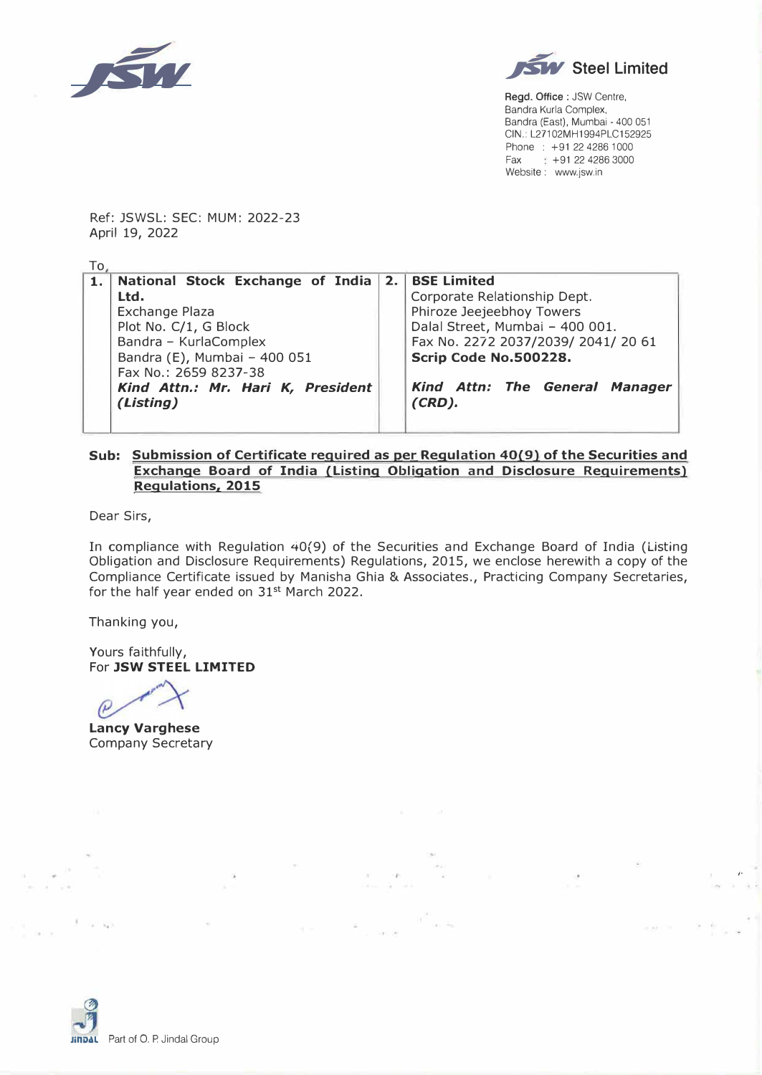



**Regd. Office** : JSW Centre, Bandra Kurla Complex, Sandra (East), Mumbai - 400 051 CIN.: L27102MH1994PLC152925 Phone : +91 22 4286 1000  $Fax +91 22 4286 3000$ Website: www.jsw.in

/·

Ref: JSWSL: SEC: MUM: 2022-23 April 19, 2022

| To, |                                     |  |                                     |
|-----|-------------------------------------|--|-------------------------------------|
| 1.  | National Stock Exchange of India 2. |  | <b>BSE Limited</b>                  |
|     | Ltd.                                |  | Corporate Relationship Dept.        |
|     | Exchange Plaza                      |  | Phiroze Jeejeebhoy Towers           |
|     | Plot No. C/1, G Block               |  | Dalal Street, Mumbai - 400 001.     |
|     | Bandra - KurlaComplex               |  | Fax No. 2272 2037/2039/ 2041/ 20 61 |
|     | Bandra (E), Mumbai - 400 051        |  | Scrip Code No.500228.               |
|     | Fax No.: 2659 8237-38               |  |                                     |
|     | Kind Attn.: Mr. Hari K, President   |  | Kind Attn: The General Manager      |
|     | (Listing)                           |  | $(CRD)$ .                           |
|     |                                     |  |                                     |

## **Sub: Submission of Certificate required as per Regulation 40(9) of the Securities and Exchange Board of India (Listing Obligation and Disclosure Requirements) Regulations, 2015**

Dear Sirs,

In compliance with Regulation 40(9) of the Securities and Exchange Board of India (Listing Obligation and Disclosure Requirements) Regulations, 2015, we enclose herewith a copy of the Compliance Certificate issued by Manisha Ghia & Associates., Practicing Company Secretaries, for the half year ended on 31<sup>st</sup> March 2022.

Thanking you,

Yours faithfully, For **JSW STEEL LIMITED** 

 $\ell$ 

**Laney Varghese**  Company Secretary